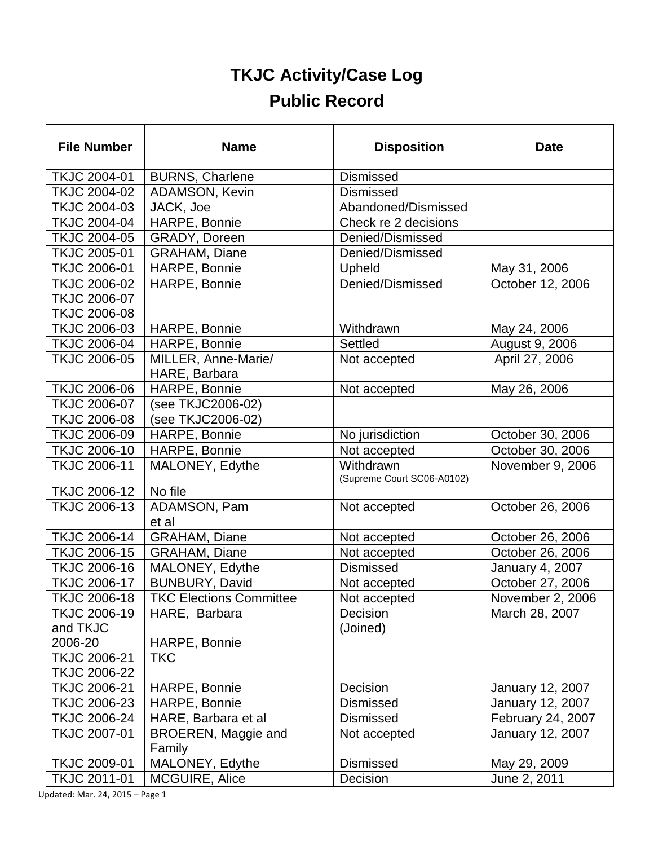## **TKJC Activity/Case Log Public Record**

| <b>File Number</b>       | <b>Name</b>                          | <b>Disposition</b>                      | <b>Date</b>       |
|--------------------------|--------------------------------------|-----------------------------------------|-------------------|
| TKJC 2004-01             | <b>BURNS, Charlene</b>               | <b>Dismissed</b>                        |                   |
| <b>TKJC 2004-02</b>      | <b>ADAMSON, Kevin</b>                | <b>Dismissed</b>                        |                   |
| TKJC 2004-03             | JACK, Joe                            | Abandoned/Dismissed                     |                   |
| TKJC 2004-04             | HARPE, Bonnie                        | Check re 2 decisions                    |                   |
| TKJC 2004-05             | GRADY, Doreen                        | Denied/Dismissed                        |                   |
| TKJC 2005-01             | <b>GRAHAM, Diane</b>                 | Denied/Dismissed                        |                   |
| TKJC 2006-01             | HARPE, Bonnie                        | Upheld                                  | May 31, 2006      |
| TKJC 2006-02             | HARPE, Bonnie                        | Denied/Dismissed                        | October 12, 2006  |
| <b>TKJC 2006-07</b>      |                                      |                                         |                   |
| <b>TKJC 2006-08</b>      |                                      |                                         |                   |
| TKJC 2006-03             | HARPE, Bonnie                        | Withdrawn                               | May 24, 2006      |
| <b>TKJC 2006-04</b>      | HARPE, Bonnie                        | Settled                                 | August 9, 2006    |
| <b>TKJC 2006-05</b>      | MILLER, Anne-Marie/<br>HARE, Barbara | Not accepted                            | April 27, 2006    |
| <b>TKJC 2006-06</b>      | HARPE, Bonnie                        | Not accepted                            | May 26, 2006      |
| <b>TKJC 2006-07</b>      | (see TKJC2006-02)                    |                                         |                   |
| <b>TKJC 2006-08</b>      | (see TKJC2006-02)                    |                                         |                   |
| <b>TKJC 2006-09</b>      | HARPE, Bonnie                        | No jurisdiction                         | October 30, 2006  |
| <b>TKJC 2006-10</b>      | HARPE, Bonnie                        | Not accepted                            | October 30, 2006  |
| <b>TKJC 2006-11</b>      | MALONEY, Edythe                      | Withdrawn<br>(Supreme Court SC06-A0102) | November 9, 2006  |
| <b>TKJC 2006-12</b>      | No file                              |                                         |                   |
| TKJC 2006-13             | ADAMSON, Pam<br>et al                | Not accepted                            | October 26, 2006  |
| <b>TKJC 2006-14</b>      | <b>GRAHAM, Diane</b>                 | Not accepted                            | October 26, 2006  |
| <b>TKJC 2006-15</b>      | <b>GRAHAM, Diane</b>                 | Not accepted                            | October 26, 2006  |
| <b>TKJC 2006-16</b>      | MALONEY, Edythe                      | <b>Dismissed</b>                        | January 4, 2007   |
| <b>TKJC 2006-17</b>      | BUNBURY, David                       | Not accepted                            | October 27, 2006  |
| <b>TKJC 2006-18</b>      | <b>TKC Elections Committee</b>       | Not accepted                            | November 2, 2006  |
| TKJC 2006-19<br>and TKJC | HARE, Barbara                        | Decision<br>(Joined)                    | March 28, 2007    |
| 2006-20                  | HARPE, Bonnie                        |                                         |                   |
| <b>TKJC 2006-21</b>      | <b>TKC</b>                           |                                         |                   |
| <b>TKJC 2006-22</b>      |                                      |                                         |                   |
| <b>TKJC 2006-21</b>      | HARPE, Bonnie                        | Decision                                | January 12, 2007  |
| TKJC 2006-23             | HARPE, Bonnie                        | <b>Dismissed</b>                        | January 12, 2007  |
| <b>TKJC 2006-24</b>      | HARE, Barbara et al                  | <b>Dismissed</b>                        | February 24, 2007 |
| TKJC 2007-01             | BROEREN, Maggie and<br>Family        | Not accepted                            | January 12, 2007  |
| <b>TKJC 2009-01</b>      | MALONEY, Edythe                      | Dismissed                               | May 29, 2009      |
| TKJC 2011-01             | MCGUIRE, Alice                       | Decision                                | June 2, 2011      |